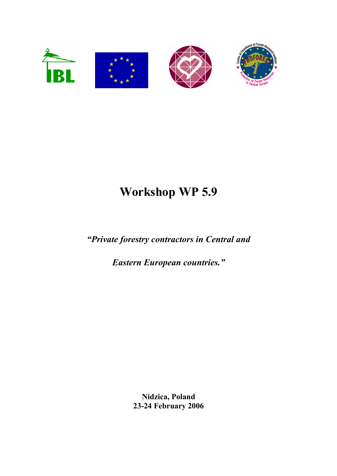

# Workshop WP 5.9

"Private forestry contractors in Central and

Eastern European countries."

Nidzica, Poland 23-24 February 2006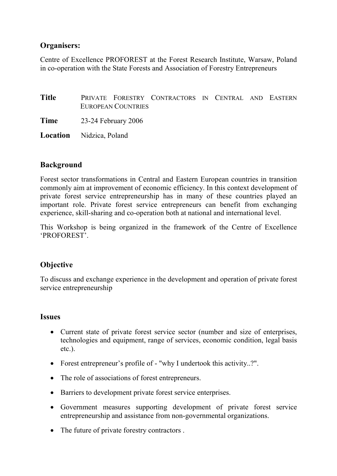## Organisers:

Centre of Excellence PROFOREST at the Forest Research Institute, Warsaw, Poland in co-operation with the State Forests and Association of Forestry Entrepreneurs

Title PRIVATE FORESTRY CONTRACTORS IN CENTRAL AND EASTERN EUROPEAN COUNTRIES

Time 23-24 February 2006

Location Nidzica, Poland

## Background

Forest sector transformations in Central and Eastern European countries in transition commonly aim at improvement of economic efficiency. In this context development of private forest service entrepreneurship has in many of these countries played an important role. Private forest service entrepreneurs can benefit from exchanging experience, skill-sharing and co-operation both at national and international level.

This Workshop is being organized in the framework of the Centre of Excellence 'PROFOREST'.

## **Objective**

To discuss and exchange experience in the development and operation of private forest service entrepreneurship

#### Issues

- Current state of private forest service sector (number and size of enterprises, technologies and equipment, range of services, economic condition, legal basis etc.).
- Forest entrepreneur's profile of "why I undertook this activity..?".
- The role of associations of forest entrepreneurs.
- Barriers to development private forest service enterprises.
- Government measures supporting development of private forest service entrepreneurship and assistance from non-governmental organizations.
- The future of private forestry contractors.